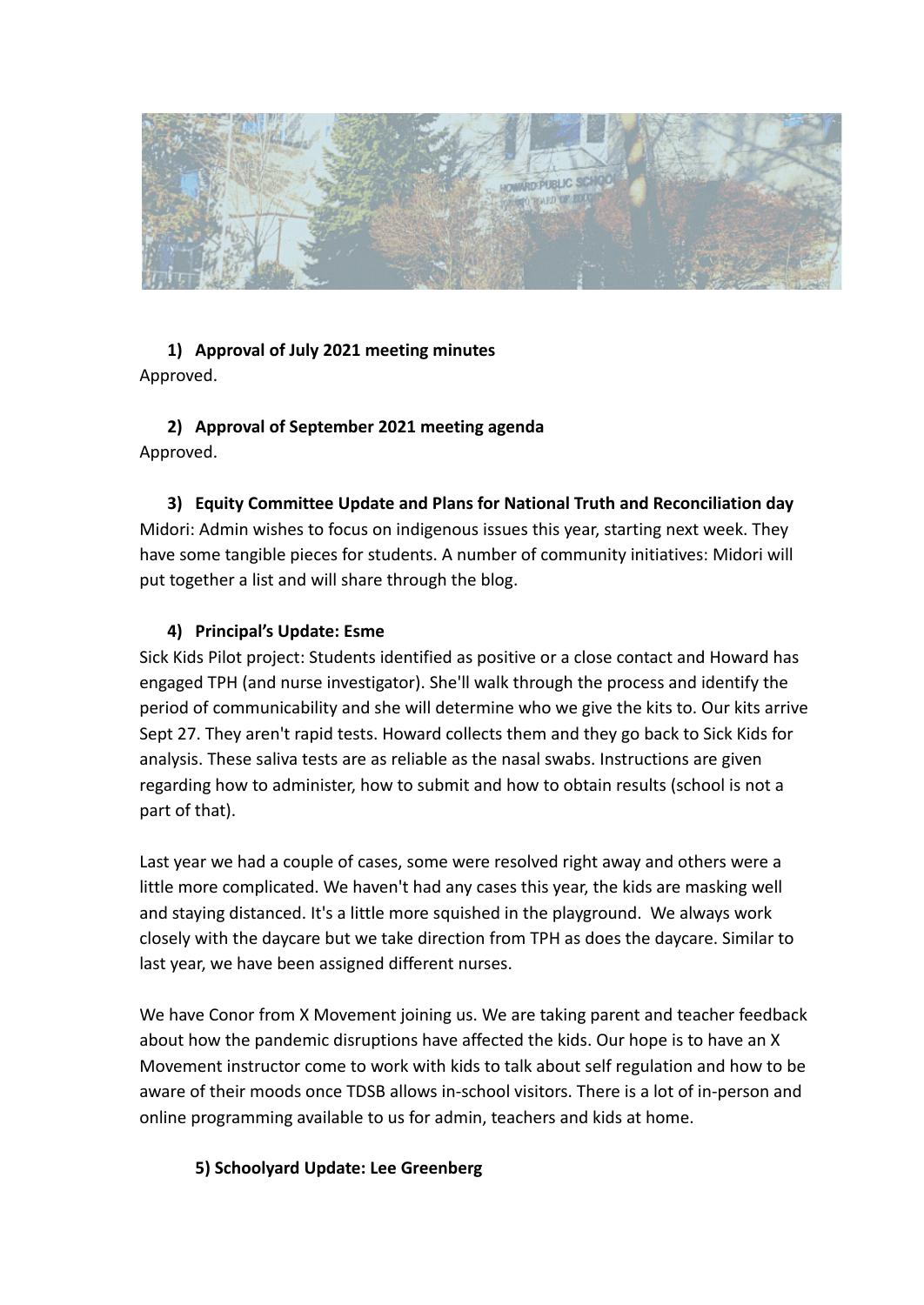

## **1) Approval of July 2021 meeting minutes** Approved.

# **2) Approval of September 2021 meeting agenda** Approved.

**3) Equity Committee Update and Plans for National Truth and Reconciliation day** Midori: Admin wishes to focus on indigenous issues this year, starting next week. They have some tangible pieces for students. A number of community initiatives: Midori will put together a list and will share through the blog.

# **4) Principal's Update: Esme**

Sick Kids Pilot project: Students identified as positive or a close contact and Howard has engaged TPH (and nurse investigator). She'll walk through the process and identify the period of communicability and she will determine who we give the kits to. Our kits arrive Sept 27. They aren't rapid tests. Howard collects them and they go back to Sick Kids for analysis. These saliva tests are as reliable as the nasal swabs. Instructions are given regarding how to administer, how to submit and how to obtain results (school is not a part of that).

Last year we had a couple of cases, some were resolved right away and others were a little more complicated. We haven't had any cases this year, the kids are masking well and staying distanced. It's a little more squished in the playground. We always work closely with the daycare but we take direction from TPH as does the daycare. Similar to last year, we have been assigned different nurses.

We have Conor from X Movement joining us. We are taking parent and teacher feedback about how the pandemic disruptions have affected the kids. Our hope is to have an X Movement instructor come to work with kids to talk about self regulation and how to be aware of their moods once TDSB allows in-school visitors. There is a lot of in-person and online programming available to us for admin, teachers and kids at home.

## **5) Schoolyard Update: Lee Greenberg**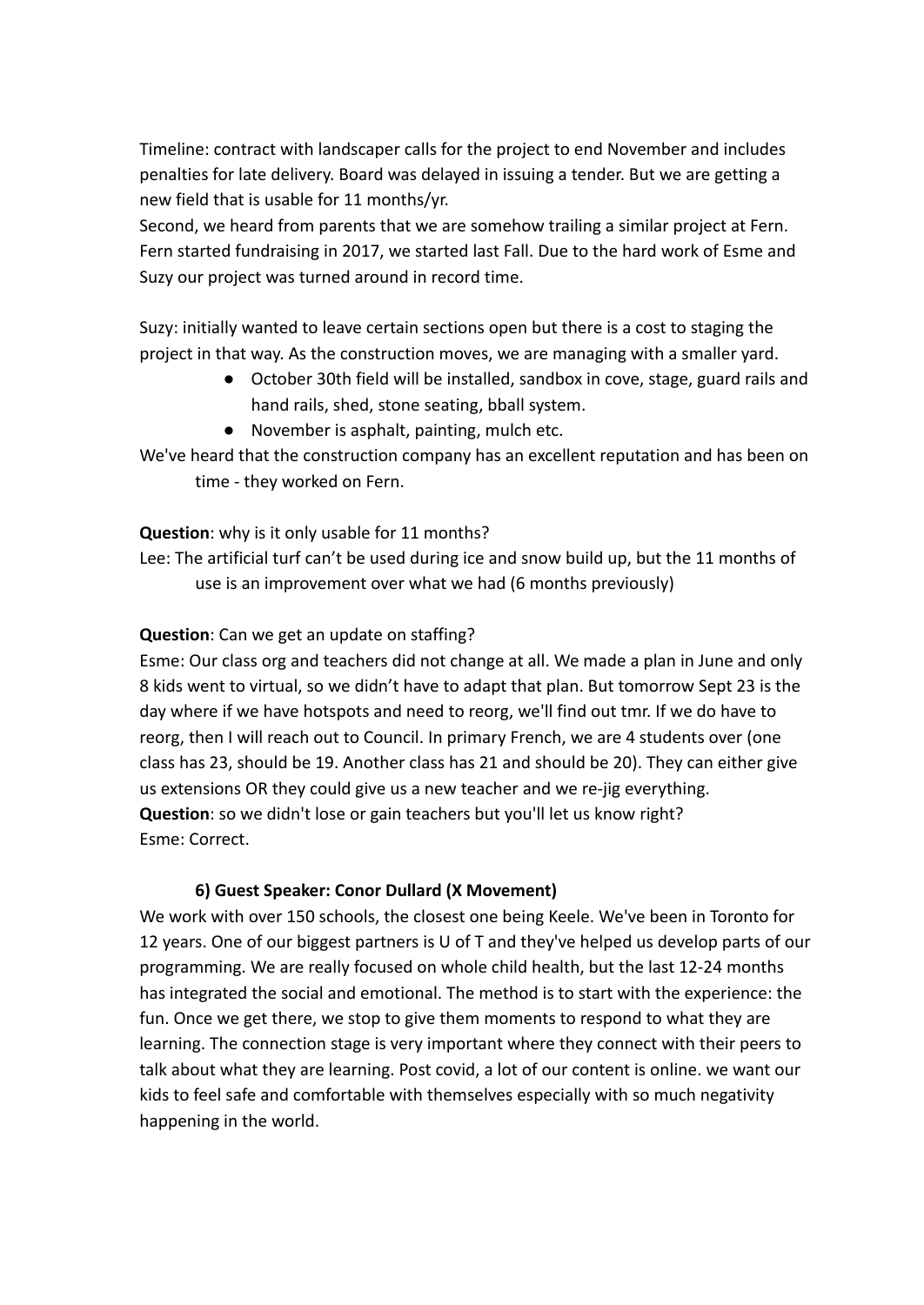Timeline: contract with landscaper calls for the project to end November and includes penalties for late delivery. Board was delayed in issuing a tender. But we are getting a new field that is usable for 11 months/yr.

Second, we heard from parents that we are somehow trailing a similar project at Fern. Fern started fundraising in 2017, we started last Fall. Due to the hard work of Esme and Suzy our project was turned around in record time.

Suzy: initially wanted to leave certain sections open but there is a cost to staging the project in that way. As the construction moves, we are managing with a smaller yard.

- October 30th field will be installed, sandbox in cove, stage, guard rails and hand rails, shed, stone seating, bball system.
- November is asphalt, painting, mulch etc.

We've heard that the construction company has an excellent reputation and has been on time - they worked on Fern.

## **Question**: why is it only usable for 11 months?

Lee: The artificial turf can't be used during ice and snow build up, but the 11 months of use is an improvement over what we had (6 months previously)

## **Question**: Can we get an update on staffing?

Esme: Our class org and teachers did not change at all. We made a plan in June and only 8 kids went to virtual, so we didn't have to adapt that plan. But tomorrow Sept 23 is the day where if we have hotspots and need to reorg, we'll find out tmr. If we do have to reorg, then I will reach out to Council. In primary French, we are 4 students over (one class has 23, should be 19. Another class has 21 and should be 20). They can either give us extensions OR they could give us a new teacher and we re-jig everything. **Question**: so we didn't lose or gain teachers but you'll let us know right? Esme: Correct.

### **6) Guest Speaker: Conor Dullard (X Movement)**

We work with over 150 schools, the closest one being Keele. We've been in Toronto for 12 years. One of our biggest partners is U of T and they've helped us develop parts of our programming. We are really focused on whole child health, but the last 12-24 months has integrated the social and emotional. The method is to start with the experience: the fun. Once we get there, we stop to give them moments to respond to what they are learning. The connection stage is very important where they connect with their peers to talk about what they are learning. Post covid, a lot of our content is online. we want our kids to feel safe and comfortable with themselves especially with so much negativity happening in the world.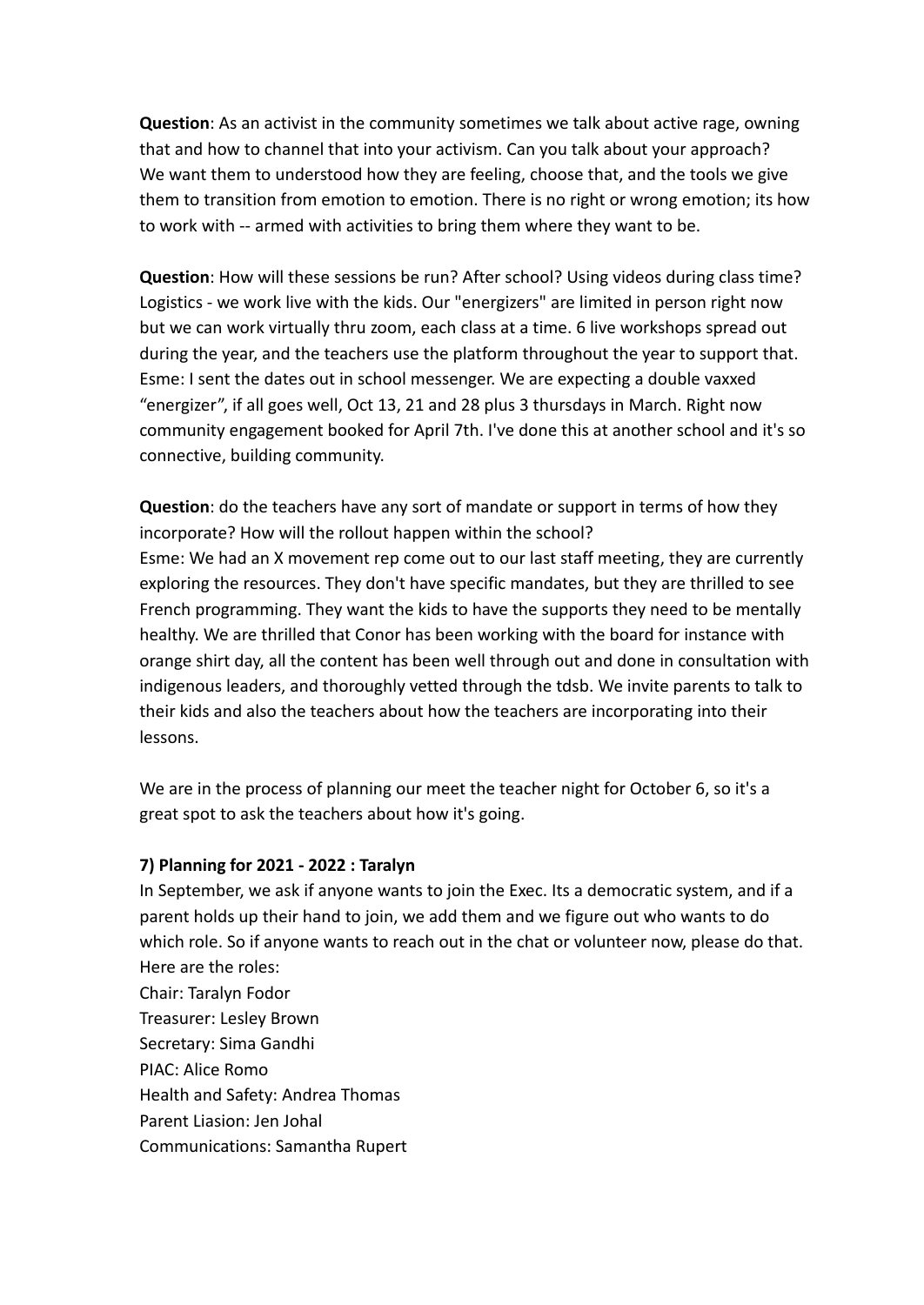**Question**: As an activist in the community sometimes we talk about active rage, owning that and how to channel that into your activism. Can you talk about your approach? We want them to understood how they are feeling, choose that, and the tools we give them to transition from emotion to emotion. There is no right or wrong emotion; its how to work with -- armed with activities to bring them where they want to be.

**Question**: How will these sessions be run? After school? Using videos during class time? Logistics - we work live with the kids. Our "energizers" are limited in person right now but we can work virtually thru zoom, each class at a time. 6 live workshops spread out during the year, and the teachers use the platform throughout the year to support that. Esme: I sent the dates out in school messenger. We are expecting a double vaxxed "energizer", if all goes well, Oct 13, 21 and 28 plus 3 thursdays in March. Right now community engagement booked for April 7th. I've done this at another school and it's so connective, building community.

**Question**: do the teachers have any sort of mandate or support in terms of how they incorporate? How will the rollout happen within the school? Esme: We had an X movement rep come out to our last staff meeting, they are currently exploring the resources. They don't have specific mandates, but they are thrilled to see French programming. They want the kids to have the supports they need to be mentally healthy. We are thrilled that Conor has been working with the board for instance with orange shirt day, all the content has been well through out and done in consultation with indigenous leaders, and thoroughly vetted through the tdsb. We invite parents to talk to their kids and also the teachers about how the teachers are incorporating into their lessons.

We are in the process of planning our meet the teacher night for October 6, so it's a great spot to ask the teachers about how it's going.

### **7) Planning for 2021 - 2022 : Taralyn**

In September, we ask if anyone wants to join the Exec. Its a democratic system, and if a parent holds up their hand to join, we add them and we figure out who wants to do which role. So if anyone wants to reach out in the chat or volunteer now, please do that. Here are the roles:

Chair: Taralyn Fodor Treasurer: Lesley Brown Secretary: Sima Gandhi PIAC: Alice Romo Health and Safety: Andrea Thomas Parent Liasion: Jen Johal Communications: Samantha Rupert